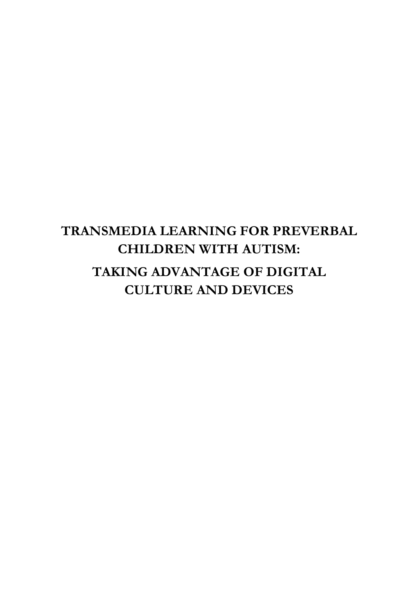## **TRANSMEDIA LEARNING FOR PREVERBAL CHILDREN WITH AUTISM: TAKING ADVANTAGE OF DIGITAL CULTURE AND DEVICES**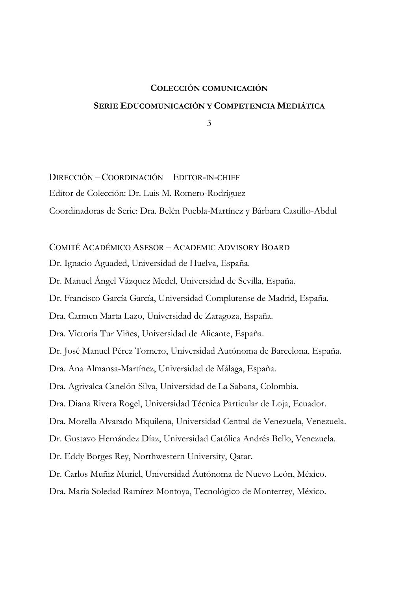## **COLECCIÓN COMUNICACIÓN SERIE EDUCOMUNICACIÓN Y COMPETENCIA MEDIÁTICA**

3

DIRECCIÓN – COORDINACIÓN EDITOR-IN-CHIEF Editor de Colección: Dr. Luis M. Romero-Rodríguez Coordinadoras de Serie: Dra. Belén Puebla-Martínez y Bárbara Castillo-Abdul

#### COMITÉ ACADÉMICO ASESOR – ACADEMIC ADVISORY BOARD

Dr. Ignacio Aguaded, Universidad de Huelva, España.

Dr. Manuel Ángel Vázquez Medel, Universidad de Sevilla, España.

Dr. Francisco García García, Universidad Complutense de Madrid, España.

Dra. Carmen Marta Lazo, Universidad de Zaragoza, España.

Dra. Victoria Tur Viñes, Universidad de Alicante, España.

Dr. José Manuel Pérez Tornero, Universidad Autónoma de Barcelona, España.

Dra. Ana Almansa-Martínez, Universidad de Málaga, España.

Dra. Agrivalca Canelón Silva, Universidad de La Sabana, Colombia.

Dra. Diana Rivera Rogel, Universidad Técnica Particular de Loja, Ecuador.

Dra. Morella Alvarado Miquilena, Universidad Central de Venezuela, Venezuela.

Dr. Gustavo Hernández Díaz, Universidad Católica Andrés Bello, Venezuela.

Dr. Eddy Borges Rey, Northwestern University, Qatar.

Dr. Carlos Muñiz Muriel, Universidad Autónoma de Nuevo León, México.

Dra. María Soledad Ramírez Montoya, Tecnológico de Monterrey, México.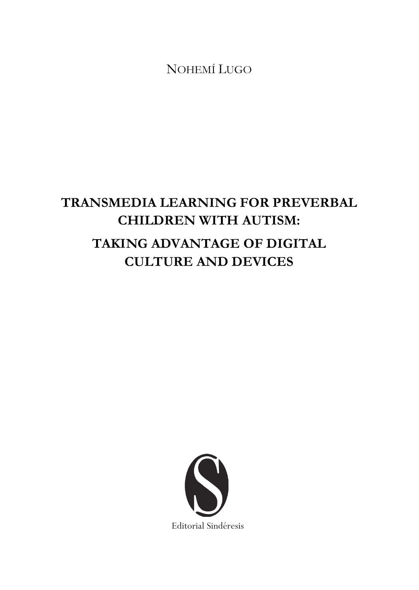# **TRANSMEDIA LEARNING FOR PREVERBAL CHILDREN WITH AUTISM: TAKING ADVANTAGE OF DIGITAL CULTURE AND DEVICES**

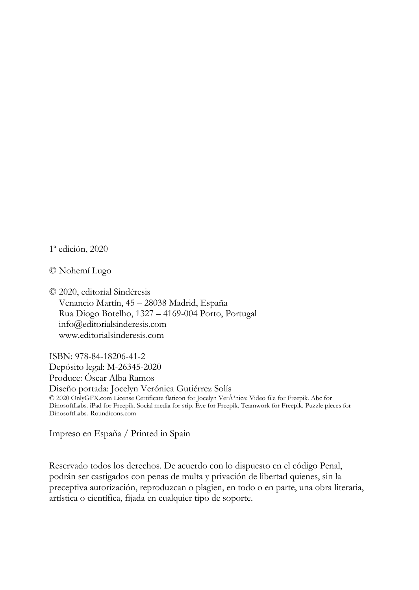1ª edición, 2020

© Nohemí Lugo

© 2020, editorial Sindéresis Venancio Martín, 45 – 28038 Madrid, España Rua Diogo Botelho, 1327 – 4169-004 Porto, Portugal info@editorialsinderesis.com www.editorialsinderesis.com

ISBN: 978-84-18206-41-2 Depósito legal: M-26345-2020 Produce: Óscar Alba Ramos Diseño portada: Jocelyn Verónica Gutiérrez Solís © 2020 OnlyGFX.com License Certificate flaticon for Jocelyn VerÂ<sup>3</sup>nica: Video file for Freepik. Abc for DinosoftLabs. iPad for Freepik. Social media for srip. Eye for Freepik. Teamwork for Freepik. Puzzle pieces for DinosoftLabs. Roundicons.com

Impreso en España / Printed in Spain

Reservado todos los derechos. De acuerdo con lo dispuesto en el código Penal, podrán ser castigados con penas de multa y privación de libertad quienes, sin la preceptiva autorización, reproduzcan o plagien, en todo o en parte, una obra literaria, artística o científica, fijada en cualquier tipo de soporte.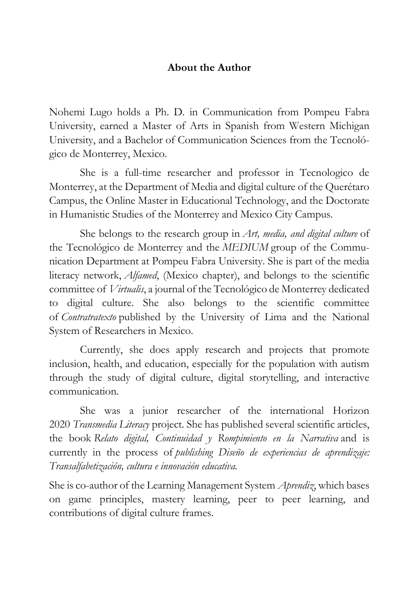#### **About the Author**

Nohemi Lugo holds a Ph. D. in Communication from Pompeu Fabra University, earned a Master of Arts in Spanish from Western Michigan University, and a Bachelor of Communication Sciences from the Tecnológico de Monterrey, Mexico.

She is a full-time researcher and professor in Tecnologico de Monterrey, at the Department of Media and digital culture of the Querétaro Campus, the Online Master in Educational Technology, and the Doctorate in Humanistic Studies of the Monterrey and Mexico City Campus.

She belongs to the research group in *Art, media, and digital culture* of the Tecnológico de Monterrey and the *MEDIUM* group of the Communication Department at Pompeu Fabra University. She is part of the media literacy network, *Alfamed*, (Mexico chapter), and belongs to the scientific committee of *Virtualis*, a journal of the Tecnológico de Monterrey dedicated to digital culture. She also belongs to the scientific committee of *Contratratexto* published by the University of Lima and the National System of Researchers in Mexico.

Currently, she does apply research and projects that promote inclusion, health, and education, especially for the population with autism through the study of digital culture, digital storytelling, and interactive communication.

She was a junior researcher of the international Horizon 2020 *Transmedia Literacy* project. She has published several scientific articles, the book *Relato digital, Continuidad y Rompimiento en la Narrativa* and is currently in the process of *publishing Diseño de experiencias de aprendizaje: Transalfabetización, cultura e innovación educativa.*

She is co-author of the Learning Management System *Aprendiz*, which bases on game principles, mastery learning, peer to peer learning, and contributions of digital culture frames.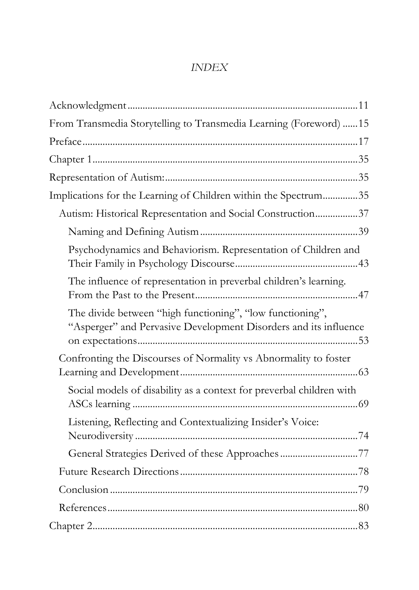#### *INDEX*

| From Transmedia Storytelling to Transmedia Learning (Foreword) 15                                                             |  |
|-------------------------------------------------------------------------------------------------------------------------------|--|
|                                                                                                                               |  |
|                                                                                                                               |  |
|                                                                                                                               |  |
| Implications for the Learning of Children within the Spectrum35                                                               |  |
| Autism: Historical Representation and Social Construction37                                                                   |  |
|                                                                                                                               |  |
| Psychodynamics and Behaviorism. Representation of Children and                                                                |  |
| The influence of representation in preverbal children's learning.                                                             |  |
| The divide between "high functioning", "low functioning",<br>"Asperger" and Pervasive Development Disorders and its influence |  |
| Confronting the Discourses of Normality vs Abnormality to foster                                                              |  |
| Social models of disability as a context for preverbal children with                                                          |  |
| Listening, Reflecting and Contextualizing Insider's Voice:                                                                    |  |
| General Strategies Derived of these Approaches 77                                                                             |  |
|                                                                                                                               |  |
|                                                                                                                               |  |
|                                                                                                                               |  |
|                                                                                                                               |  |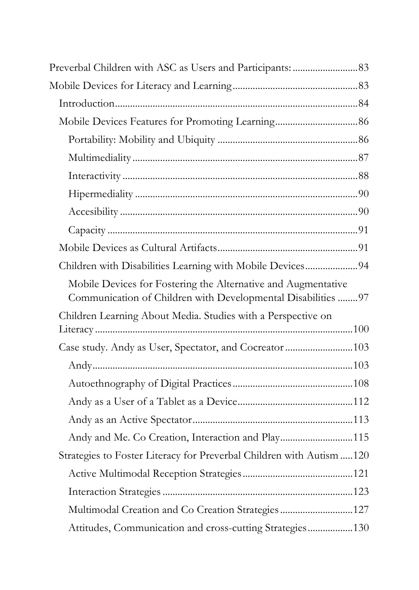| Children with Disabilities Learning with Mobile Devices94                                                                     |  |
|-------------------------------------------------------------------------------------------------------------------------------|--|
| Mobile Devices for Fostering the Alternative and Augmentative<br>Communication of Children with Developmental Disabilities 97 |  |
| Children Learning About Media. Studies with a Perspective on                                                                  |  |
| Case study. Andy as User, Spectator, and Cocreator103                                                                         |  |
|                                                                                                                               |  |
|                                                                                                                               |  |
|                                                                                                                               |  |
|                                                                                                                               |  |
| Andy and Me. Co Creation, Interaction and Play115                                                                             |  |
| Strategies to Foster Literacy for Preverbal Children with Autism  120                                                         |  |
|                                                                                                                               |  |
|                                                                                                                               |  |
| Multimodal Creation and Co Creation Strategies 127                                                                            |  |
| Attitudes, Communication and cross-cutting Strategies 130                                                                     |  |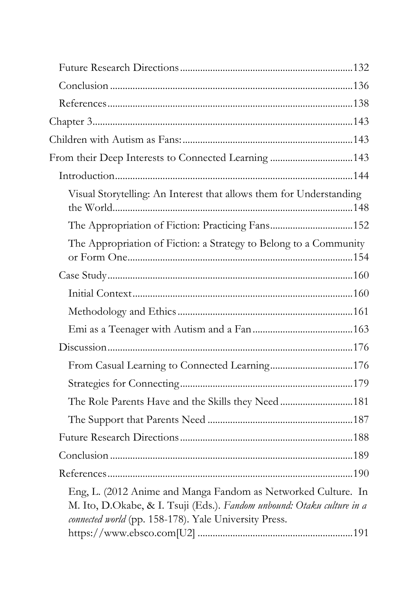| From their Deep Interests to Connected Learning 143                                                                                                                                              |  |
|--------------------------------------------------------------------------------------------------------------------------------------------------------------------------------------------------|--|
|                                                                                                                                                                                                  |  |
| Visual Storytelling: An Interest that allows them for Understanding                                                                                                                              |  |
| The Appropriation of Fiction: Practicing Fans152                                                                                                                                                 |  |
| The Appropriation of Fiction: a Strategy to Belong to a Community                                                                                                                                |  |
|                                                                                                                                                                                                  |  |
|                                                                                                                                                                                                  |  |
|                                                                                                                                                                                                  |  |
|                                                                                                                                                                                                  |  |
|                                                                                                                                                                                                  |  |
|                                                                                                                                                                                                  |  |
|                                                                                                                                                                                                  |  |
| The Role Parents Have and the Skills they Need181                                                                                                                                                |  |
|                                                                                                                                                                                                  |  |
|                                                                                                                                                                                                  |  |
|                                                                                                                                                                                                  |  |
|                                                                                                                                                                                                  |  |
| Eng, L. (2012 Anime and Manga Fandom as Networked Culture. In<br>M. Ito, D.Okabe, & I. Tsuji (Eds.). Fandom unbound: Otaku culture in a<br>connected world (pp. 158-178). Yale University Press. |  |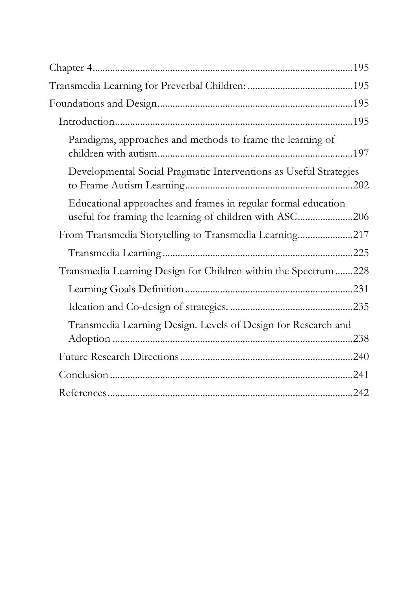| Paradigms, approaches and methods to frame the learning of                                                               |  |
|--------------------------------------------------------------------------------------------------------------------------|--|
| Developmental Social Pragmatic Interventions as Useful Strategies                                                        |  |
| Educational approaches and frames in regular formal education<br>useful for framing the learning of children with ASC206 |  |
| From Transmedia Storytelling to Transmedia Learning217                                                                   |  |
|                                                                                                                          |  |
| Transmedia Learning Design for Children within the Spectrum228                                                           |  |
|                                                                                                                          |  |
|                                                                                                                          |  |
| Transmedia Learning Design. Levels of Design for Research and                                                            |  |
|                                                                                                                          |  |
|                                                                                                                          |  |
|                                                                                                                          |  |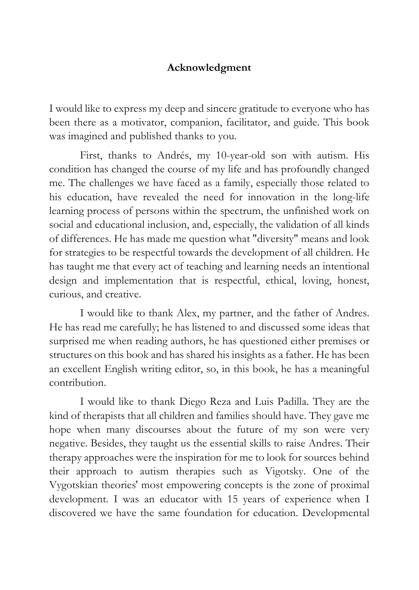#### **Acknowledgment**

I would like to express my deep and sincere gratitude to everyone who has been there as a motivator, companion, facilitator, and guide. This book was imagined and published thanks to you.

First, thanks to Andrés, my 10-year-old son with autism. His condition has changed the course of my life and has profoundly changed me. The challenges we have faced as a family, especially those related to his education, have revealed the need for innovation in the long-life learning process of persons within the spectrum, the unfinished work on social and educational inclusion, and, especially, the validation of all kinds of differences. He has made me question what "diversity" means and look for strategies to be respectful towards the development of all children. He has taught me that every act of teaching and learning needs an intentional design and implementation that is respectful, ethical, loving, honest, curious, and creative.

I would like to thank Alex, my partner, and the father of Andres. He has read me carefully; he has listened to and discussed some ideas that surprised me when reading authors, he has questioned either premises or structures on this book and has shared his insights as a father. He has been an excellent English writing editor, so, in this book, he has a meaningful contribution.

I would like to thank Diego Reza and Luis Padilla. They are the kind of therapists that all children and families should have. They gave me hope when many discourses about the future of my son were very negative. Besides, they taught us the essential skills to raise Andres. Their therapy approaches were the inspiration for me to look for sources behind their approach to autism therapies such as Vigotsky. One of the Vygotskian theories' most empowering concepts is the zone of proximal development. I was an educator with 15 years of experience when I discovered we have the same foundation for education. Developmental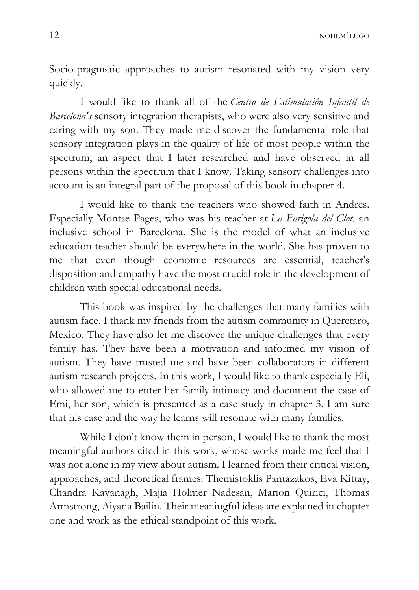Socio-pragmatic approaches to autism resonated with my vision very quickly.

I would like to thank all of the *Centro de Estimulación Infantil de Barcelona's* sensory integration therapists, who were also very sensitive and caring with my son. They made me discover the fundamental role that sensory integration plays in the quality of life of most people within the spectrum, an aspect that I later researched and have observed in all persons within the spectrum that I know. Taking sensory challenges into account is an integral part of the proposal of this book in chapter 4.

I would like to thank the teachers who showed faith in Andres. Especially Montse Pages, who was his teacher at *La Farigola del Clot*, an inclusive school in Barcelona. She is the model of what an inclusive education teacher should be everywhere in the world. She has proven to me that even though economic resources are essential, teacher's disposition and empathy have the most crucial role in the development of children with special educational needs.

This book was inspired by the challenges that many families with autism face. I thank my friends from the autism community in Queretaro, Mexico. They have also let me discover the unique challenges that every family has. They have been a motivation and informed my vision of autism. They have trusted me and have been collaborators in different autism research projects. In this work, I would like to thank especially Eli, who allowed me to enter her family intimacy and document the case of Emi, her son, which is presented as a case study in chapter 3. I am sure that his case and the way he learns will resonate with many families.

While I don't know them in person, I would like to thank the most meaningful authors cited in this work, whose works made me feel that I was not alone in my view about autism. I learned from their critical vision, approaches, and theoretical frames: Themistoklis Pantazakos, Eva Kittay, Chandra Kavanagh, Majia Holmer Nadesan, Marion Quirici, Thomas Armstrong, Aiyana Bailin. Their meaningful ideas are explained in chapter one and work as the ethical standpoint of this work.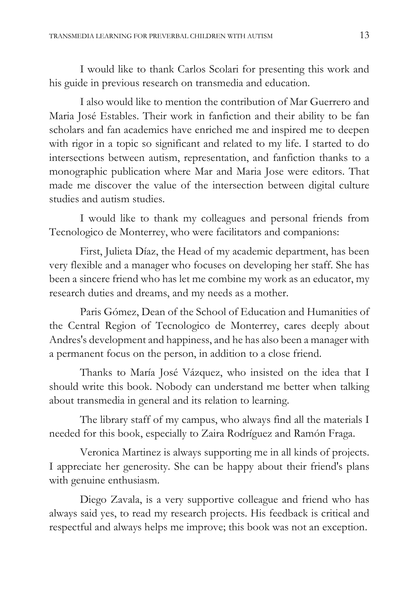I would like to thank Carlos Scolari for presenting this work and his guide in previous research on transmedia and education.

I also would like to mention the contribution of Mar Guerrero and Maria José Estables. Their work in fanfiction and their ability to be fan scholars and fan academics have enriched me and inspired me to deepen with rigor in a topic so significant and related to my life. I started to do intersections between autism, representation, and fanfiction thanks to a monographic publication where Mar and Maria Jose were editors. That made me discover the value of the intersection between digital culture studies and autism studies.

I would like to thank my colleagues and personal friends from Tecnologico de Monterrey, who were facilitators and companions:

First, Julieta Díaz, the Head of my academic department, has been very flexible and a manager who focuses on developing her staff. She has been a sincere friend who has let me combine my work as an educator, my research duties and dreams, and my needs as a mother.

Paris Gómez, Dean of the School of Education and Humanities of the Central Region of Tecnologico de Monterrey, cares deeply about Andres's development and happiness, and he has also been a manager with a permanent focus on the person, in addition to a close friend.

Thanks to María José Vázquez, who insisted on the idea that I should write this book. Nobody can understand me better when talking about transmedia in general and its relation to learning.

The library staff of my campus, who always find all the materials I needed for this book, especially to Zaira Rodríguez and Ramón Fraga.

Veronica Martinez is always supporting me in all kinds of projects. I appreciate her generosity. She can be happy about their friend's plans with genuine enthusiasm.

Diego Zavala, is a very supportive colleague and friend who has always said yes, to read my research projects. His feedback is critical and respectful and always helps me improve; this book was not an exception.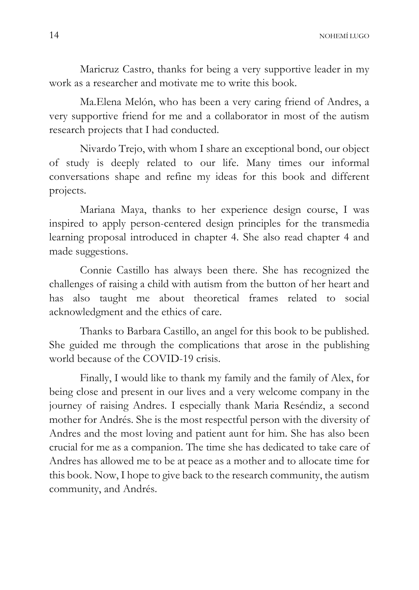Maricruz Castro, thanks for being a very supportive leader in my work as a researcher and motivate me to write this book.

Ma.Elena Melón, who has been a very caring friend of Andres, a very supportive friend for me and a collaborator in most of the autism research projects that I had conducted.

Nivardo Trejo, with whom I share an exceptional bond, our object of study is deeply related to our life. Many times our informal conversations shape and refine my ideas for this book and different projects.

Mariana Maya, thanks to her experience design course, I was inspired to apply person-centered design principles for the transmedia learning proposal introduced in chapter 4. She also read chapter 4 and made suggestions.

Connie Castillo has always been there. She has recognized the challenges of raising a child with autism from the button of her heart and has also taught me about theoretical frames related to social acknowledgment and the ethics of care.

Thanks to Barbara Castillo, an angel for this book to be published. She guided me through the complications that arose in the publishing world because of the COVID-19 crisis.

Finally, I would like to thank my family and the family of Alex, for being close and present in our lives and a very welcome company in the journey of raising Andres. I especially thank Maria Reséndiz, a second mother for Andrés. She is the most respectful person with the diversity of Andres and the most loving and patient aunt for him. She has also been crucial for me as a companion. The time she has dedicated to take care of Andres has allowed me to be at peace as a mother and to allocate time for this book. Now, I hope to give back to the research community, the autism community, and Andrés.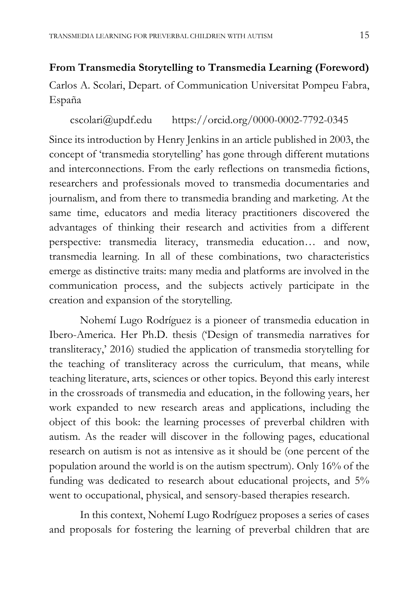#### **From Transmedia Storytelling to Transmedia Learning (Foreword)**

Carlos A. Scolari, Depart. of Communication Universitat Pompeu Fabra, España

#### cscolari@updf.edu https://orcid.org/0000-0002-7792-0345

Since its introduction by Henry Jenkins in an article published in 2003, the concept of 'transmedia storytelling' has gone through different mutations and interconnections. From the early reflections on transmedia fictions, researchers and professionals moved to transmedia documentaries and journalism, and from there to transmedia branding and marketing. At the same time, educators and media literacy practitioners discovered the advantages of thinking their research and activities from a different perspective: transmedia literacy, transmedia education… and now, transmedia learning. In all of these combinations, two characteristics emerge as distinctive traits: many media and platforms are involved in the communication process, and the subjects actively participate in the creation and expansion of the storytelling.

Nohemí Lugo Rodríguez is a pioneer of transmedia education in Ibero-America. Her Ph.D. thesis ('Design of transmedia narratives for transliteracy,' 2016) studied the application of transmedia storytelling for the teaching of transliteracy across the curriculum, that means, while teaching literature, arts, sciences or other topics. Beyond this early interest in the crossroads of transmedia and education, in the following years, her work expanded to new research areas and applications, including the object of this book: the learning processes of preverbal children with autism. As the reader will discover in the following pages, educational research on autism is not as intensive as it should be (one percent of the population around the world is on the autism spectrum). Only 16% of the funding was dedicated to research about educational projects, and 5% went to occupational, physical, and sensory-based therapies research.

In this context, Nohemí Lugo Rodríguez proposes a series of cases and proposals for fostering the learning of preverbal children that are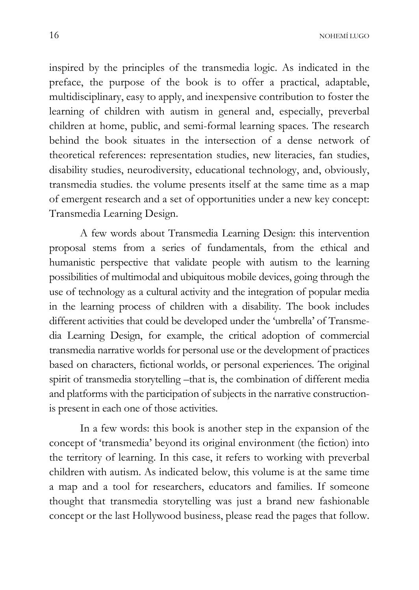inspired by the principles of the transmedia logic. As indicated in the preface, the purpose of the book is to offer a practical, adaptable, multidisciplinary, easy to apply, and inexpensive contribution to foster the learning of children with autism in general and, especially, preverbal children at home, public, and semi-formal learning spaces. The research behind the book situates in the intersection of a dense network of theoretical references: representation studies, new literacies, fan studies, disability studies, neurodiversity, educational technology, and, obviously, transmedia studies. the volume presents itself at the same time as a map of emergent research and a set of opportunities under a new key concept: Transmedia Learning Design.

A few words about Transmedia Learning Design: this intervention proposal stems from a series of fundamentals, from the ethical and humanistic perspective that validate people with autism to the learning possibilities of multimodal and ubiquitous mobile devices, going through the use of technology as a cultural activity and the integration of popular media in the learning process of children with a disability. The book includes different activities that could be developed under the 'umbrella' of Transmedia Learning Design, for example, the critical adoption of commercial transmedia narrative worlds for personal use or the development of practices based on characters, fictional worlds, or personal experiences. The original spirit of transmedia storytelling –that is, the combination of different media and platforms with the participation of subjects in the narrative constructionis present in each one of those activities.

In a few words: this book is another step in the expansion of the concept of 'transmedia' beyond its original environment (the fiction) into the territory of learning. In this case, it refers to working with preverbal children with autism. As indicated below, this volume is at the same time a map and a tool for researchers, educators and families. If someone thought that transmedia storytelling was just a brand new fashionable concept or the last Hollywood business, please read the pages that follow.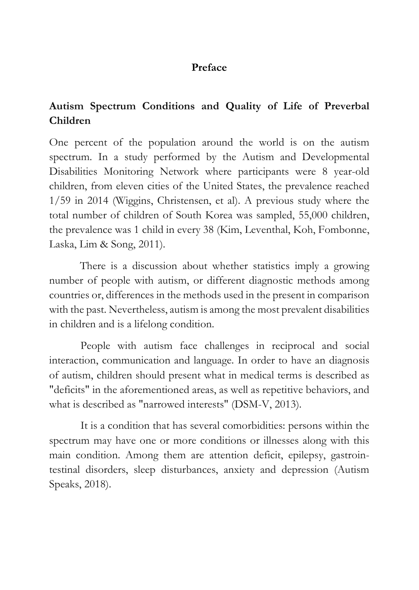#### **Preface**

### **Autism Spectrum Conditions and Quality of Life of Preverbal Children**

One percent of the population around the world is on the autism spectrum. In a study performed by the Autism and Developmental Disabilities Monitoring Network where participants were 8 year-old children, from eleven cities of the United States, the prevalence reached 1/59 in 2014 (Wiggins, Christensen, et al). A previous study where the total number of children of South Korea was sampled, 55,000 children, the prevalence was 1 child in every 38 (Kim, Leventhal, Koh, Fombonne, Laska, Lim & Song, 2011).

There is a discussion about whether statistics imply a growing number of people with autism, or different diagnostic methods among countries or, differences in the methods used in the present in comparison with the past. Nevertheless, autism is among the most prevalent disabilities in children and is a lifelong condition.

People with autism face challenges in reciprocal and social interaction, communication and language. In order to have an diagnosis of autism, children should present what in medical terms is described as "deficits" in the aforementioned areas, as well as repetitive behaviors, and what is described as "narrowed interests" (DSM-V, 2013).

It is a condition that has several comorbidities: persons within the spectrum may have one or more conditions or illnesses along with this main condition. Among them are attention deficit, epilepsy, gastrointestinal disorders, sleep disturbances, anxiety and depression (Autism Speaks, 2018).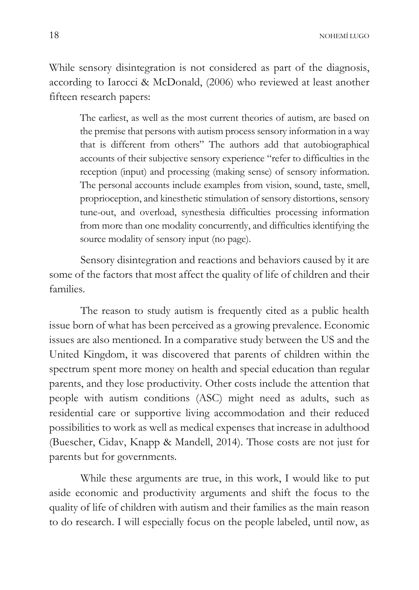While sensory disintegration is not considered as part of the diagnosis, according to Iarocci & McDonald, (2006) who reviewed at least another fifteen research papers:

The earliest, as well as the most current theories of autism, are based on the premise that persons with autism process sensory information in a way that is different from others" The authors add that autobiographical accounts of their subjective sensory experience "refer to difficulties in the reception (input) and processing (making sense) of sensory information. The personal accounts include examples from vision, sound, taste, smell, proprioception, and kinesthetic stimulation of sensory distortions, sensory tune-out, and overload, synesthesia difficulties processing information from more than one modality concurrently, and difficulties identifying the source modality of sensory input (no page).

Sensory disintegration and reactions and behaviors caused by it are some of the factors that most affect the quality of life of children and their families.

The reason to study autism is frequently cited as a public health issue born of what has been perceived as a growing prevalence. Economic issues are also mentioned. In a comparative study between the US and the United Kingdom, it was discovered that parents of children within the spectrum spent more money on health and special education than regular parents, and they lose productivity. Other costs include the attention that people with autism conditions (ASC) might need as adults, such as residential care or supportive living accommodation and their reduced possibilities to work as well as medical expenses that increase in adulthood (Buescher, Cidav, Knapp & Mandell, 2014). Those costs are not just for parents but for governments.

While these arguments are true, in this work, I would like to put aside economic and productivity arguments and shift the focus to the quality of life of children with autism and their families as the main reason to do research. I will especially focus on the people labeled, until now, as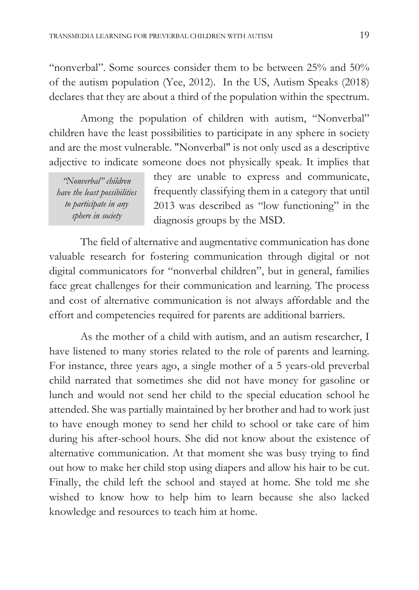"nonverbal". Some sources consider them to be between  $25\%$  and  $50\%$ of the autism population (Yee, 2012). In the US, Autism Speaks (2018) declares that they are about a third of the population within the spectrum.

Among the population of children with autism, "Nonverbal" children have the least possibilities to participate in any sphere in society and are the most vulnerable. "Nonverbal" is not only used as a descriptive adjective to indicate someone does not physically speak. It implies that

*"Nonverbal" children have the least possibilities to participate in any sphere in society* 

they are unable to express and communicate, frequently classifying them in a category that until 2013 was described as "low functioning" in the diagnosis groups by the MSD.

The field of alternative and augmentative communication has done valuable research for fostering communication through digital or not digital communicators for "nonverbal children", but in general, families face great challenges for their communication and learning. The process and cost of alternative communication is not always affordable and the effort and competencies required for parents are additional barriers.

As the mother of a child with autism, and an autism researcher, I have listened to many stories related to the role of parents and learning. For instance, three years ago, a single mother of a 5 years-old preverbal child narrated that sometimes she did not have money for gasoline or lunch and would not send her child to the special education school he attended. She was partially maintained by her brother and had to work just to have enough money to send her child to school or take care of him during his after-school hours. She did not know about the existence of alternative communication. At that moment she was busy trying to find out how to make her child stop using diapers and allow his hair to be cut. Finally, the child left the school and stayed at home. She told me she wished to know how to help him to learn because she also lacked knowledge and resources to teach him at home.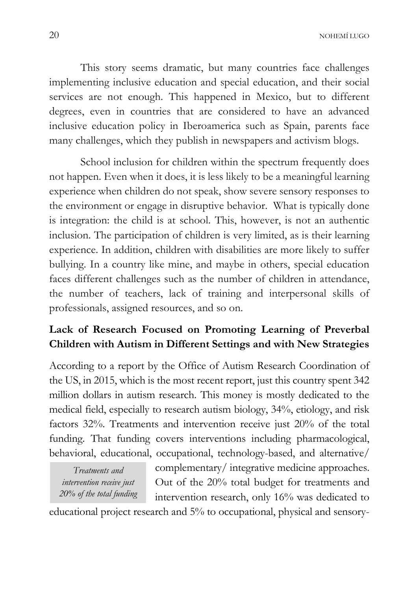This story seems dramatic, but many countries face challenges implementing inclusive education and special education, and their social services are not enough. This happened in Mexico, but to different degrees, even in countries that are considered to have an advanced inclusive education policy in Iberoamerica such as Spain, parents face many challenges, which they publish in newspapers and activism blogs.

School inclusion for children within the spectrum frequently does not happen. Even when it does, it is less likely to be a meaningful learning experience when children do not speak, show severe sensory responses to the environment or engage in disruptive behavior. What is typically done is integration: the child is at school. This, however, is not an authentic inclusion. The participation of children is very limited, as is their learning experience. In addition, children with disabilities are more likely to suffer bullying. In a country like mine, and maybe in others, special education faces different challenges such as the number of children in attendance, the number of teachers, lack of training and interpersonal skills of professionals, assigned resources, and so on.

#### **Lack of Research Focused on Promoting Learning of Preverbal Children with Autism in Different Settings and with New Strategies**

According to a report by the Office of Autism Research Coordination of the US, in 2015, which is the most recent report, just this country spent 342 million dollars in autism research. This money is mostly dedicated to the medical field, especially to research autism biology, 34%, etiology, and risk factors 32%. Treatments and intervention receive just 20% of the total funding. That funding covers interventions including pharmacological, behavioral, educational, occupational, technology-based, and alternative/

*Treatments and intervention receive just 20% of the total funding*  complementary/ integrative medicine approaches. Out of the 20% total budget for treatments and intervention research, only 16% was dedicated to

educational project research and 5% to occupational, physical and sensory-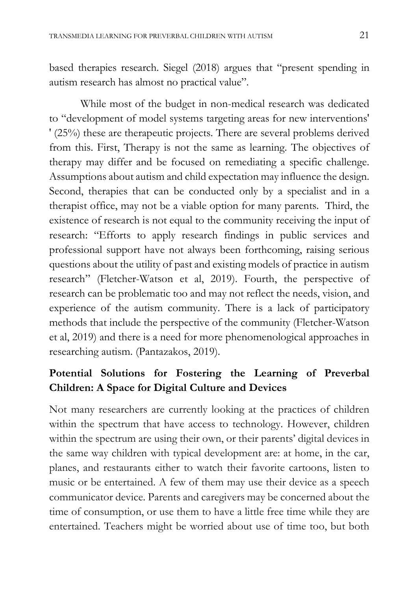based therapies research. Siegel (2018) argues that "present spending in autism research has almost no practical value".

While most of the budget in non-medical research was dedicated to "development of model systems targeting areas for new interventions' ' (25%) these are therapeutic projects. There are several problems derived from this. First, Therapy is not the same as learning. The objectives of therapy may differ and be focused on remediating a specific challenge. Assumptions about autism and child expectation may influence the design. Second, therapies that can be conducted only by a specialist and in a therapist office, may not be a viable option for many parents. Third, the existence of research is not equal to the community receiving the input of research: "Efforts to apply research findings in public services and professional support have not always been forthcoming, raising serious questions about the utility of past and existing models of practice in autism research" (Fletcher-Watson et al, 2019). Fourth, the perspective of research can be problematic too and may not reflect the needs, vision, and experience of the autism community. There is a lack of participatory methods that include the perspective of the community (Fletcher-Watson et al, 2019) and there is a need for more phenomenological approaches in researching autism. (Pantazakos, 2019).

#### **Potential Solutions for Fostering the Learning of Preverbal Children: A Space for Digital Culture and Devices**

Not many researchers are currently looking at the practices of children within the spectrum that have access to technology. However, children within the spectrum are using their own, or their parents' digital devices in the same way children with typical development are: at home, in the car, planes, and restaurants either to watch their favorite cartoons, listen to music or be entertained. A few of them may use their device as a speech communicator device. Parents and caregivers may be concerned about the time of consumption, or use them to have a little free time while they are entertained. Teachers might be worried about use of time too, but both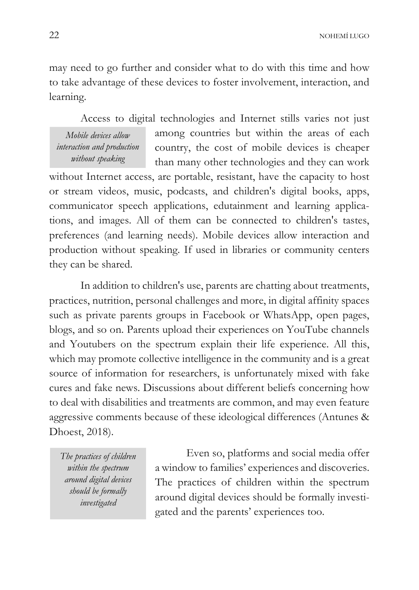may need to go further and consider what to do with this time and how to take advantage of these devices to foster involvement, interaction, and learning.

Access to digital technologies and Internet stills varies not just

*Mobile devices allow interaction and production without speaking* 

among countries but within the areas of each country, the cost of mobile devices is cheaper than many other technologies and they can work

without Internet access, are portable, resistant, have the capacity to host or stream videos, music, podcasts, and children's digital books, apps, communicator speech applications, edutainment and learning applications, and images. All of them can be connected to children's tastes, preferences (and learning needs). Mobile devices allow interaction and production without speaking. If used in libraries or community centers they can be shared.

In addition to children's use, parents are chatting about treatments, practices, nutrition, personal challenges and more, in digital affinity spaces such as private parents groups in Facebook or WhatsApp, open pages, blogs, and so on. Parents upload their experiences on YouTube channels and Youtubers on the spectrum explain their life experience. All this, which may promote collective intelligence in the community and is a great source of information for researchers, is unfortunately mixed with fake cures and fake news. Discussions about different beliefs concerning how to deal with disabilities and treatments are common, and may even feature aggressive comments because of these ideological differences (Antunes & Dhoest, 2018).

*The practices of children within the spectrum around digital devices should be formally investigated* 

Even so, platforms and social media offer a window to families' experiences and discoveries. The practices of children within the spectrum around digital devices should be formally investigated and the parents' experiences too.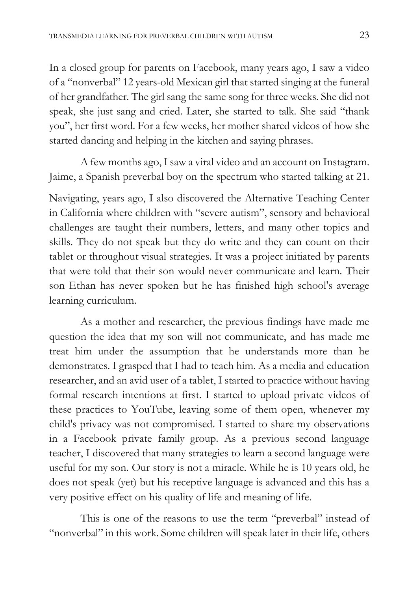In a closed group for parents on Facebook, many years ago, I saw a video of a "nonverbal" 12 years-old Mexican girl that started singing at the funeral of her grandfather. The girl sang the same song for three weeks. She did not speak, she just sang and cried. Later, she started to talk. She said "thank you", her first word. For a few weeks, her mother shared videos of how she started dancing and helping in the kitchen and saying phrases.

A few months ago, I saw a viral video and an account on Instagram. Jaime, a Spanish preverbal boy on the spectrum who started talking at 21.

Navigating, years ago, I also discovered the Alternative Teaching Center in California where children with "severe autism", sensory and behavioral challenges are taught their numbers, letters, and many other topics and skills. They do not speak but they do write and they can count on their tablet or throughout visual strategies. It was a project initiated by parents that were told that their son would never communicate and learn. Their son Ethan has never spoken but he has finished high school's average learning curriculum.

As a mother and researcher, the previous findings have made me question the idea that my son will not communicate, and has made me treat him under the assumption that he understands more than he demonstrates. I grasped that I had to teach him. As a media and education researcher, and an avid user of a tablet, I started to practice without having formal research intentions at first. I started to upload private videos of these practices to YouTube, leaving some of them open, whenever my child's privacy was not compromised. I started to share my observations in a Facebook private family group. As a previous second language teacher, I discovered that many strategies to learn a second language were useful for my son. Our story is not a miracle. While he is 10 years old, he does not speak (yet) but his receptive language is advanced and this has a very positive effect on his quality of life and meaning of life.

This is one of the reasons to use the term "preverbal" instead of "nonverbal" in this work. Some children will speak later in their life, others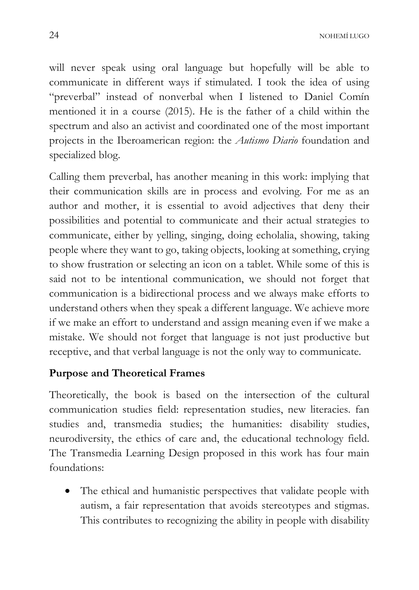will never speak using oral language but hopefully will be able to communicate in different ways if stimulated. I took the idea of using "preverbal" instead of nonverbal when I listened to Daniel Comín mentioned it in a course (2015). He is the father of a child within the spectrum and also an activist and coordinated one of the most important projects in the Iberoamerican region: the *Autismo Diario* foundation and specialized blog.

Calling them preverbal, has another meaning in this work: implying that their communication skills are in process and evolving. For me as an author and mother, it is essential to avoid adjectives that deny their possibilities and potential to communicate and their actual strategies to communicate, either by yelling, singing, doing echolalia, showing, taking people where they want to go, taking objects, looking at something, crying to show frustration or selecting an icon on a tablet. While some of this is said not to be intentional communication, we should not forget that communication is a bidirectional process and we always make efforts to understand others when they speak a different language. We achieve more if we make an effort to understand and assign meaning even if we make a mistake. We should not forget that language is not just productive but receptive, and that verbal language is not the only way to communicate.

#### **Purpose and Theoretical Frames**

Theoretically, the book is based on the intersection of the cultural communication studies field: representation studies, new literacies. fan studies and, transmedia studies; the humanities: disability studies, neurodiversity, the ethics of care and, the educational technology field. The Transmedia Learning Design proposed in this work has four main foundations:

• The ethical and humanistic perspectives that validate people with autism, a fair representation that avoids stereotypes and stigmas. This contributes to recognizing the ability in people with disability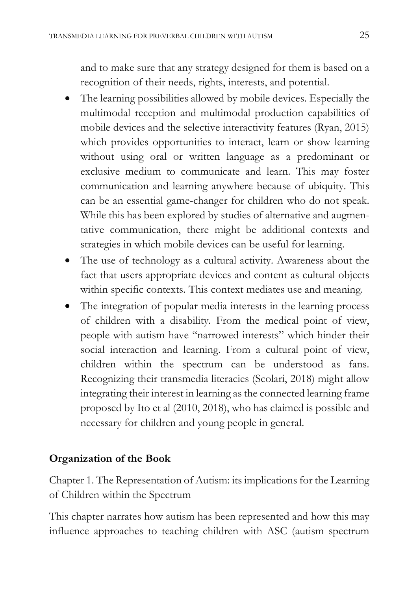and to make sure that any strategy designed for them is based on a recognition of their needs, rights, interests, and potential.

- The learning possibilities allowed by mobile devices. Especially the multimodal reception and multimodal production capabilities of mobile devices and the selective interactivity features (Ryan, 2015) which provides opportunities to interact, learn or show learning without using oral or written language as a predominant or exclusive medium to communicate and learn. This may foster communication and learning anywhere because of ubiquity. This can be an essential game-changer for children who do not speak. While this has been explored by studies of alternative and augmentative communication, there might be additional contexts and strategies in which mobile devices can be useful for learning.
- The use of technology as a cultural activity. Awareness about the fact that users appropriate devices and content as cultural objects within specific contexts. This context mediates use and meaning.
- The integration of popular media interests in the learning process of children with a disability. From the medical point of view, people with autism have "narrowed interests" which hinder their social interaction and learning. From a cultural point of view, children within the spectrum can be understood as fans. Recognizing their transmedia literacies (Scolari, 2018) might allow integrating their interest in learning as the connected learning frame proposed by Ito et al (2010, 2018), who has claimed is possible and necessary for children and young people in general.

#### **Organization of the Book**

Chapter 1. The Representation of Autism: its implications for the Learning of Children within the Spectrum

This chapter narrates how autism has been represented and how this may influence approaches to teaching children with ASC (autism spectrum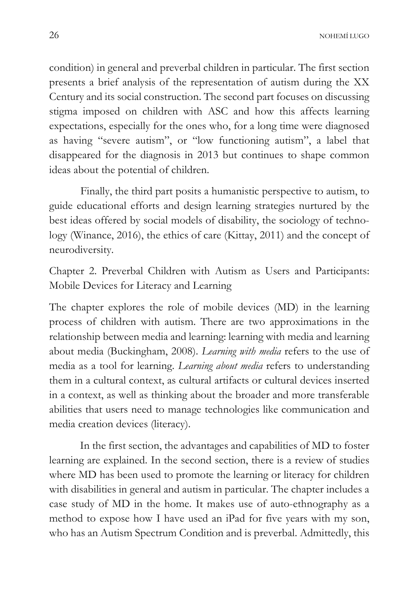condition) in general and preverbal children in particular. The first section presents a brief analysis of the representation of autism during the XX Century and its social construction. The second part focuses on discussing stigma imposed on children with ASC and how this affects learning expectations, especially for the ones who, for a long time were diagnosed as having "severe autism", or "low functioning autism", a label that disappeared for the diagnosis in 2013 but continues to shape common ideas about the potential of children.

Finally, the third part posits a humanistic perspective to autism, to guide educational efforts and design learning strategies nurtured by the best ideas offered by social models of disability, the sociology of technology (Winance, 2016), the ethics of care (Kittay, 2011) and the concept of neurodiversity.

Chapter 2. Preverbal Children with Autism as Users and Participants: Mobile Devices for Literacy and Learning

The chapter explores the role of mobile devices (MD) in the learning process of children with autism. There are two approximations in the relationship between media and learning: learning with media and learning about media (Buckingham, 2008). *Learning with media* refers to the use of media as a tool for learning. *Learning about media* refers to understanding them in a cultural context, as cultural artifacts or cultural devices inserted in a context, as well as thinking about the broader and more transferable abilities that users need to manage technologies like communication and media creation devices (literacy).

In the first section, the advantages and capabilities of MD to foster learning are explained. In the second section, there is a review of studies where MD has been used to promote the learning or literacy for children with disabilities in general and autism in particular. The chapter includes a case study of MD in the home. It makes use of auto-ethnography as a method to expose how I have used an iPad for five years with my son, who has an Autism Spectrum Condition and is preverbal. Admittedly, this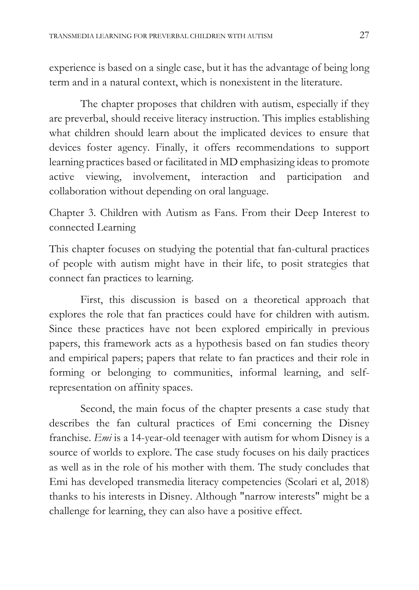experience is based on a single case, but it has the advantage of being long term and in a natural context, which is nonexistent in the literature.

The chapter proposes that children with autism, especially if they are preverbal, should receive literacy instruction. This implies establishing what children should learn about the implicated devices to ensure that devices foster agency. Finally, it offers recommendations to support learning practices based or facilitated in MD emphasizing ideas to promote active viewing, involvement, interaction and participation and collaboration without depending on oral language.

Chapter 3. Children with Autism as Fans. From their Deep Interest to connected Learning

This chapter focuses on studying the potential that fan-cultural practices of people with autism might have in their life, to posit strategies that connect fan practices to learning.

First, this discussion is based on a theoretical approach that explores the role that fan practices could have for children with autism. Since these practices have not been explored empirically in previous papers, this framework acts as a hypothesis based on fan studies theory and empirical papers; papers that relate to fan practices and their role in forming or belonging to communities, informal learning, and selfrepresentation on affinity spaces.

Second, the main focus of the chapter presents a case study that describes the fan cultural practices of Emi concerning the Disney franchise. *Emi* is a 14-year-old teenager with autism for whom Disney is a source of worlds to explore. The case study focuses on his daily practices as well as in the role of his mother with them. The study concludes that Emi has developed transmedia literacy competencies (Scolari et al, 2018) thanks to his interests in Disney. Although "narrow interests" might be a challenge for learning, they can also have a positive effect.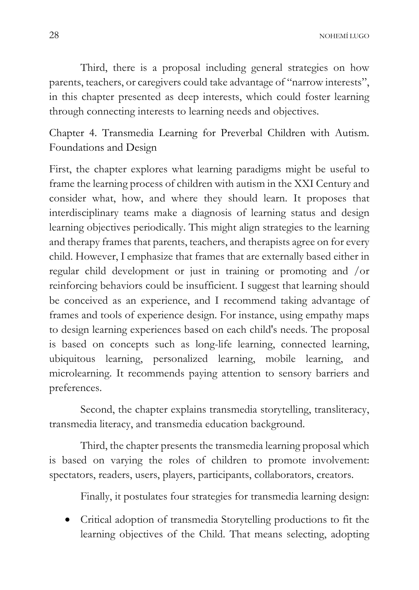Third, there is a proposal including general strategies on how parents, teachers, or caregivers could take advantage of "narrow interests", in this chapter presented as deep interests, which could foster learning through connecting interests to learning needs and objectives.

Chapter 4. Transmedia Learning for Preverbal Children with Autism. Foundations and Design

First, the chapter explores what learning paradigms might be useful to frame the learning process of children with autism in the XXI Century and consider what, how, and where they should learn. It proposes that interdisciplinary teams make a diagnosis of learning status and design learning objectives periodically. This might align strategies to the learning and therapy frames that parents, teachers, and therapists agree on for every child. However, I emphasize that frames that are externally based either in regular child development or just in training or promoting and /or reinforcing behaviors could be insufficient. I suggest that learning should be conceived as an experience, and I recommend taking advantage of frames and tools of experience design. For instance, using empathy maps to design learning experiences based on each child's needs. The proposal is based on concepts such as long-life learning, connected learning, ubiquitous learning, personalized learning, mobile learning, and microlearning. It recommends paying attention to sensory barriers and preferences.

Second, the chapter explains transmedia storytelling, transliteracy, transmedia literacy, and transmedia education background.

Third, the chapter presents the transmedia learning proposal which is based on varying the roles of children to promote involvement: spectators, readers, users, players, participants, collaborators, creators.

Finally, it postulates four strategies for transmedia learning design:

• Critical adoption of transmedia Storytelling productions to fit the learning objectives of the Child. That means selecting, adopting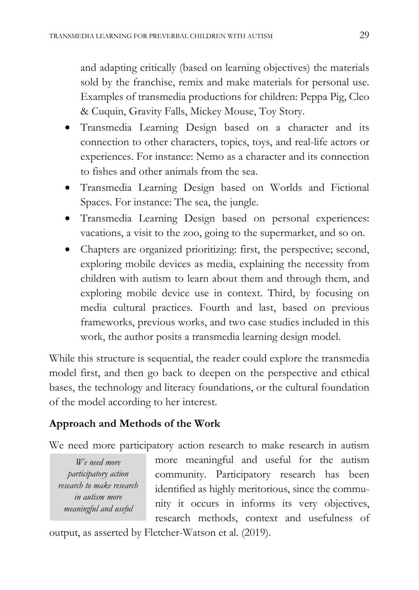and adapting critically (based on learning objectives) the materials sold by the franchise, remix and make materials for personal use. Examples of transmedia productions for children: Peppa Pig, Cleo & Cuquin, Gravity Falls, Mickey Mouse, Toy Story.

- Transmedia Learning Design based on a character and its connection to other characters, topics, toys, and real-life actors or experiences. For instance: Nemo as a character and its connection to fishes and other animals from the sea.
- Transmedia Learning Design based on Worlds and Fictional Spaces. For instance: The sea, the jungle.
- Transmedia Learning Design based on personal experiences: vacations, a visit to the zoo, going to the supermarket, and so on.
- Chapters are organized prioritizing: first, the perspective; second, exploring mobile devices as media, explaining the necessity from children with autism to learn about them and through them, and exploring mobile device use in context. Third, by focusing on media cultural practices. Fourth and last, based on previous frameworks, previous works, and two case studies included in this work, the author posits a transmedia learning design model.

While this structure is sequential, the reader could explore the transmedia model first, and then go back to deepen on the perspective and ethical bases, the technology and literacy foundations, or the cultural foundation of the model according to her interest.

### **Approach and Methods of the Work**

We need more participatory action research to make research in autism

*We need more participatory action research to make research in autism more meaningful and useful* 

more meaningful and useful for the autism community. Participatory research has been identified as highly meritorious, since the community it occurs in informs its very objectives, research methods, context and usefulness of

output, as asserted by Fletcher-Watson et al. (2019).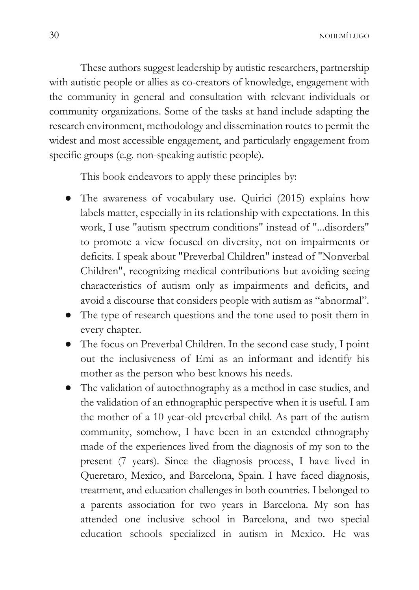These authors suggest leadership by autistic researchers, partnership with autistic people or allies as co-creators of knowledge, engagement with the community in general and consultation with relevant individuals or community organizations. Some of the tasks at hand include adapting the research environment, methodology and dissemination routes to permit the widest and most accessible engagement, and particularly engagement from specific groups (e.g. non-speaking autistic people).

This book endeavors to apply these principles by:

- The awareness of vocabulary use. Quirici (2015) explains how labels matter, especially in its relationship with expectations. In this work, I use "autism spectrum conditions" instead of "...disorders" to promote a view focused on diversity, not on impairments or deficits. I speak about "Preverbal Children" instead of "Nonverbal Children", recognizing medical contributions but avoiding seeing characteristics of autism only as impairments and deficits, and avoid a discourse that considers people with autism as "abnormal".
- The type of research questions and the tone used to posit them in every chapter.
- The focus on Preverbal Children. In the second case study, I point out the inclusiveness of Emi as an informant and identify his mother as the person who best knows his needs.
- The validation of autoethnography as a method in case studies, and the validation of an ethnographic perspective when it is useful. I am the mother of a 10 year-old preverbal child. As part of the autism community, somehow, I have been in an extended ethnography made of the experiences lived from the diagnosis of my son to the present (7 years). Since the diagnosis process, I have lived in Queretaro, Mexico, and Barcelona, Spain. I have faced diagnosis, treatment, and education challenges in both countries. I belonged to a parents association for two years in Barcelona. My son has attended one inclusive school in Barcelona, and two special education schools specialized in autism in Mexico. He was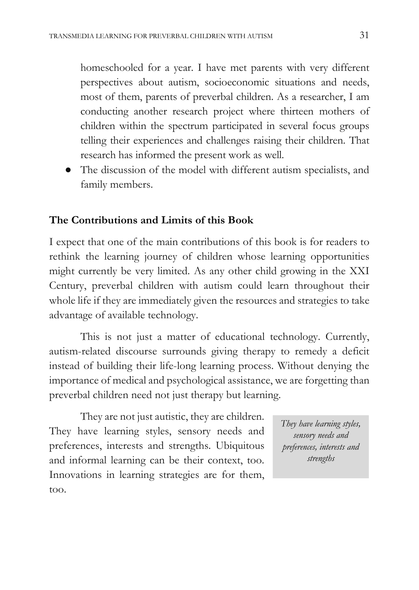homeschooled for a year. I have met parents with very different perspectives about autism, socioeconomic situations and needs, most of them, parents of preverbal children. As a researcher, I am conducting another research project where thirteen mothers of children within the spectrum participated in several focus groups telling their experiences and challenges raising their children. That research has informed the present work as well.

● The discussion of the model with different autism specialists, and family members.

#### **The Contributions and Limits of this Book**

I expect that one of the main contributions of this book is for readers to rethink the learning journey of children whose learning opportunities might currently be very limited. As any other child growing in the XXI Century, preverbal children with autism could learn throughout their whole life if they are immediately given the resources and strategies to take advantage of available technology.

This is not just a matter of educational technology. Currently, autism-related discourse surrounds giving therapy to remedy a deficit instead of building their life-long learning process. Without denying the importance of medical and psychological assistance, we are forgetting than preverbal children need not just therapy but learning.

They are not just autistic, they are children. They have learning styles, sensory needs and preferences, interests and strengths. Ubiquitous and informal learning can be their context, too. Innovations in learning strategies are for them, too.

*They have learning styles, sensory needs and preferences, interests and strengths*